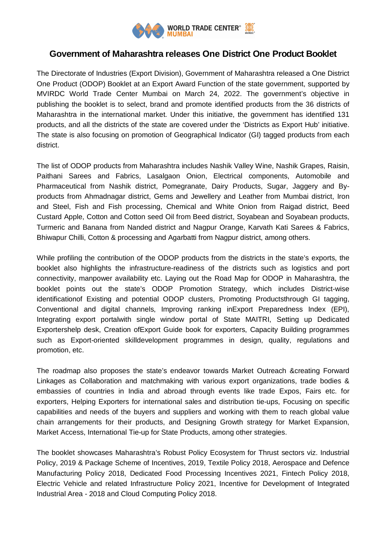

## **Government of Maharashtra releases One District One Product Booklet**

The Directorate of Industries (Export Division), Government of Maharashtra released a One District One Product (ODOP) Booklet at an Export Award Function of the state government, supported by MVIRDC World Trade Center Mumbai on March 24, 2022. The government's objective in publishing the booklet is to select, brand and promote identified products from the 36 districts of Maharashtra in the international market. Under this initiative, the government has identified 131 products, and all the districts of the state are covered under the 'Districts as Export Hub' initiative. The state is also focusing on promotion of Geographical Indicator (GI) tagged products from each district.

The list of ODOP products from Maharashtra includes Nashik Valley Wine, Nashik Grapes, Raisin, Paithani Sarees and Fabrics, Lasalgaon Onion, Electrical components, Automobile and Pharmaceutical from Nashik district, Pomegranate, Dairy Products, Sugar, Jaggery and Byproducts from Ahmadnagar district, Gems and Jewellery and Leather from Mumbai district, Iron and Steel, Fish and Fish processing, Chemical and White Onion from Raigad district, Beed Custard Apple, Cotton and Cotton seed Oil from Beed district, Soyabean and Soyabean products, Turmeric and Banana from Nanded district and Nagpur Orange, Karvath Kati Sarees & Fabrics, Bhiwapur Chilli, Cotton & processing and Agarbatti from Nagpur district, among others.

While profiling the contribution of the ODOP products from the districts in the state's exports, the booklet also highlights the infrastructure-readiness of the districts such as logistics and port connectivity, manpower availability etc. Laying out the Road Map for ODOP in Maharashtra, the booklet points out the state's ODOP Promotion Strategy, which includes District-wise identificationof Existing and potential ODOP clusters, Promoting Productsthrough GI tagging, Conventional and digital channels, Improving ranking inExport Preparedness Index (EPI), Integrating export portalwith single window portal of State MAITRI, Setting up Dedicated Exportershelp desk, Creation ofExport Guide book for exporters, Capacity Building programmes such as Export-oriented skilldevelopment programmes in design, quality, regulations and promotion, etc.

The roadmap also proposes the state's endeavor towards Market Outreach &creating Forward Linkages as Collaboration and matchmaking with various export organizations, trade bodies & embassies of countries in India and abroad through events like trade Expos, Fairs etc. for exporters, Helping Exporters for international sales and distribution tie-ups, Focusing on specific capabilities and needs of the buyers and suppliers and working with them to reach global value chain arrangements for their products, and Designing Growth strategy for Market Expansion, Market Access, International Tie-up for State Products, among other strategies.

The booklet showcases Maharashtra's Robust Policy Ecosystem for Thrust sectors viz. Industrial Policy, 2019 & Package Scheme of Incentives, 2019, Textile Policy 2018, Aerospace and Defence Manufacturing Policy 2018, Dedicated Food Processing Incentives 2021, Fintech Policy 2018, Electric Vehicle and related Infrastructure Policy 2021, Incentive for Development of Integrated Industrial Area - 2018 and Cloud Computing Policy 2018.